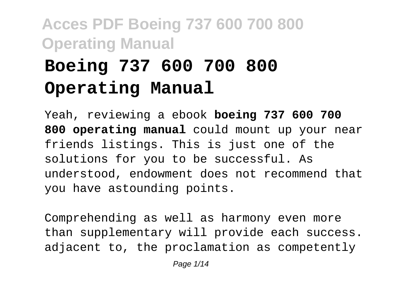# **Boeing 737 600 700 800 Operating Manual**

Yeah, reviewing a ebook **boeing 737 600 700 800 operating manual** could mount up your near friends listings. This is just one of the solutions for you to be successful. As understood, endowment does not recommend that you have astounding points.

Comprehending as well as harmony even more than supplementary will provide each success. adjacent to, the proclamation as competently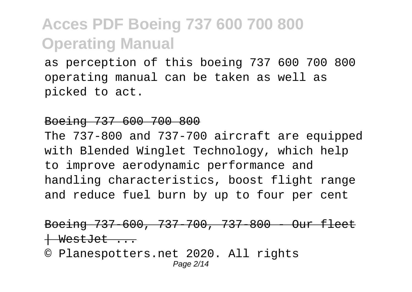as perception of this boeing 737 600 700 800 operating manual can be taken as well as picked to act.

#### Boeing 737 600 700 800

The 737-800 and 737-700 aircraft are equipped with Blended Winglet Technology, which help to improve aerodynamic performance and handling characteristics, boost flight range and reduce fuel burn by up to four per cent

#### Boeing 737-600, 737-700, 737-800 - Our fleet WestJet ...

© Planespotters.net 2020. All rights Page 2/14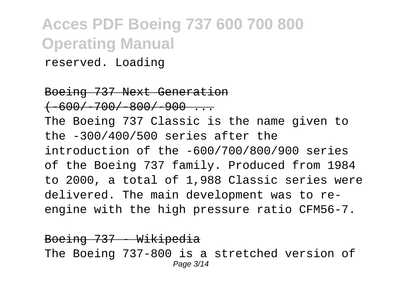reserved. Loading

Boeing 737 Next Generation  $+600/700/800/900...$ The Boeing 737 Classic is the name given to the -300/400/500 series after the introduction of the -600/700/800/900 series of the Boeing 737 family. Produced from 1984 to 2000, a total of 1,988 Classic series were delivered. The main development was to reengine with the high pressure ratio CFM56-7.

Boeing 737 Wikipedia The Boeing 737-800 is a stretched version of Page 3/14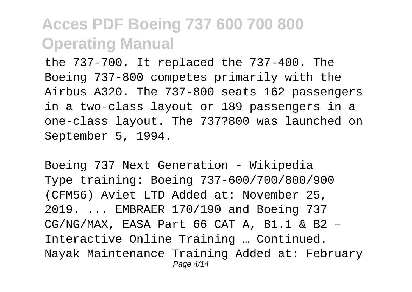the 737-700. It replaced the 737-400. The Boeing 737-800 competes primarily with the Airbus A320. The 737-800 seats 162 passengers in a two-class layout or 189 passengers in a one-class layout. The 737?800 was launched on September 5, 1994.

Boeing 737 Next Generation - Wikipedia Type training: Boeing 737-600/700/800/900 (CFM56) Aviet LTD Added at: November 25, 2019. ... EMBRAER 170/190 and Boeing 737  $CG/NG/MAX$ , EASA Part 66 CAT A, B1.1 & B2 -Interactive Online Training … Continued. Nayak Maintenance Training Added at: February Page 4/14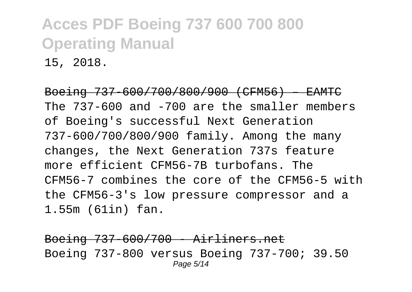15, 2018.

Boeing 737-600/700/800/900 (CFM56) – EA The 737-600 and -700 are the smaller members of Boeing's successful Next Generation 737-600/700/800/900 family. Among the many changes, the Next Generation 737s feature more efficient CFM56-7B turbofans. The CFM56-7 combines the core of the CFM56-5 with the CFM56-3's low pressure compressor and a 1.55m (61in) fan.

Boeing 737-600/700 - Airliners.net Boeing 737-800 versus Boeing 737-700; 39.50 Page 5/14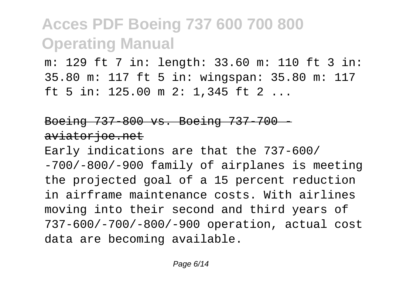m: 129 ft 7 in: length: 33.60 m: 110 ft 3 in: 35.80 m: 117 ft 5 in: wingspan: 35.80 m: 117 ft 5 in: 125.00 m 2: 1,345 ft 2 ...

#### Boeing 737-800 vs. Boeing 737-700 aviatorjoe.net

Early indications are that the 737-600/ -700/-800/-900 family of airplanes is meeting the projected goal of a 15 percent reduction in airframe maintenance costs. With airlines moving into their second and third years of 737-600/-700/-800/-900 operation, actual cost data are becoming available.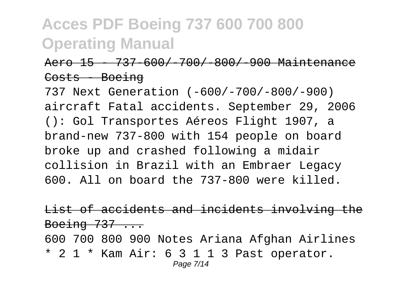#### Aero 15 - 737-600/-700/-800/-900 Maint Costs Boeing

737 Next Generation (-600/-700/-800/-900) aircraft Fatal accidents. September 29, 2006 (): Gol Transportes Aéreos Flight 1907, a brand-new 737-800 with 154 people on board broke up and crashed following a midair collision in Brazil with an Embraer Legacy 600. All on board the 737-800 were killed.

List of accidents and incidents involving the Boeing  $737...$ 

600 700 800 900 Notes Ariana Afghan Airlines \* 2 1 \* Kam Air: 6 3 1 1 3 Past operator. Page 7/14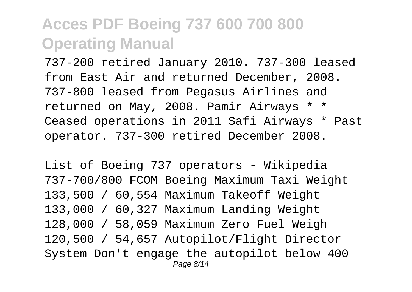737-200 retired January 2010. 737-300 leased from East Air and returned December, 2008. 737-800 leased from Pegasus Airlines and returned on May, 2008. Pamir Airways \* \* Ceased operations in 2011 Safi Airways \* Past operator. 737-300 retired December 2008.

List of Boeing 737 operators - Wikipedia 737-700/800 FCOM Boeing Maximum Taxi Weight 133,500 / 60,554 Maximum Takeoff Weight 133,000 / 60,327 Maximum Landing Weight 128,000 / 58,059 Maximum Zero Fuel Weigh 120,500 / 54,657 Autopilot/Flight Director System Don't engage the autopilot below 400 Page 8/14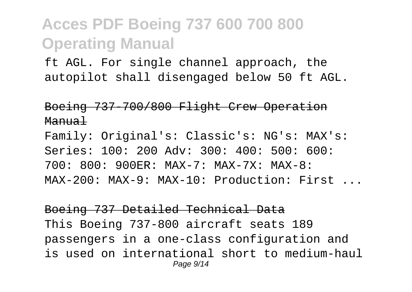ft AGL. For single channel approach, the autopilot shall disengaged below 50 ft AGL.

Boeing 737-700/800 Flight Crew Operation Manual

Family: Original's: Classic's: NG's: MAX's: Series: 100: 200 Adv: 300: 400: 500: 600: 700: 800: 900ER: MAX-7: MAX-7X: MAX-8: MAX-200: MAX-9: MAX-10: Production: First ...

Boeing 737 Detailed Technical Data This Boeing 737-800 aircraft seats 189 passengers in a one-class configuration and is used on international short to medium-haul Page  $9/14$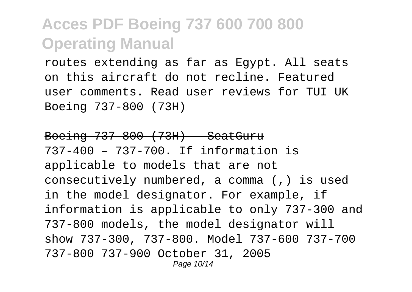routes extending as far as Egypt. All seats on this aircraft do not recline. Featured user comments. Read user reviews for TUI UK Boeing 737-800 (73H)

#### Boeing 737-800 (73H) - SeatGuru 737-400 – 737-700. If information is applicable to models that are not consecutively numbered, a comma (,) is used in the model designator. For example, if information is applicable to only 737-300 and 737-800 models, the model designator will show 737-300, 737-800. Model 737-600 737-700 737-800 737-900 October 31, 2005 Page 10/14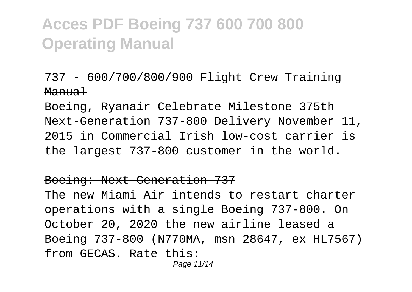#### 737 - 600/700/800/900 Flight Crew Training Manual

Boeing, Ryanair Celebrate Milestone 375th Next-Generation 737-800 Delivery November 11, 2015 in Commercial Irish low-cost carrier is the largest 737-800 customer in the world.

#### Boeing: Next-Generation 737

The new Miami Air intends to restart charter operations with a single Boeing 737-800. On October 20, 2020 the new airline leased a Boeing 737-800 (N770MA, msn 28647, ex HL7567) from GECAS. Rate this:

Page 11/14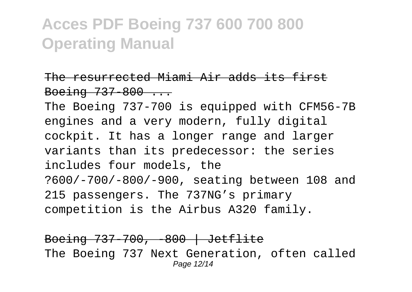#### The resurrected Miami Air adds its first Boeing  $737-800...$

The Boeing 737-700 is equipped with CFM56-7B engines and a very modern, fully digital cockpit. It has a longer range and larger variants than its predecessor: the series includes four models, the ?600/-700/-800/-900, seating between 108 and 215 passengers. The 737NG's primary competition is the Airbus A320 family.

Boeing 737-700, -800 | Jetflite The Boeing 737 Next Generation, often called Page 12/14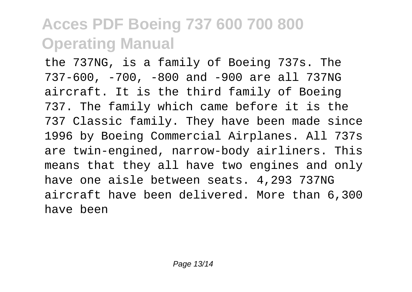the 737NG, is a family of Boeing 737s. The 737-600, -700, -800 and -900 are all 737NG aircraft. It is the third family of Boeing 737. The family which came before it is the 737 Classic family. They have been made since 1996 by Boeing Commercial Airplanes. All 737s are twin-engined, narrow-body airliners. This means that they all have two engines and only have one aisle between seats. 4,293 737NG aircraft have been delivered. More than 6,300 have been